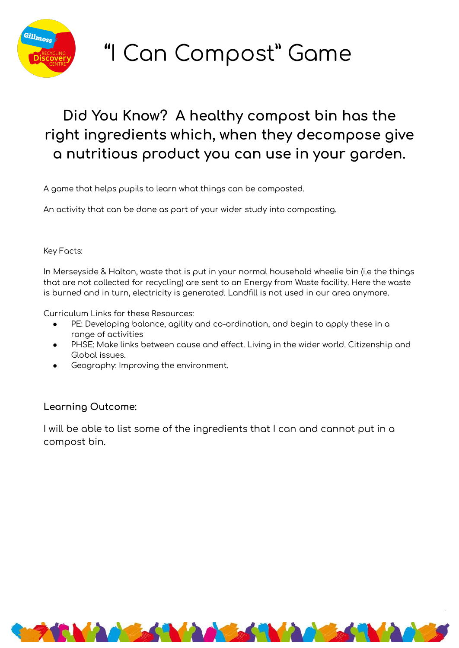

# "I Can Compost" Game

## Did You Know? A healthy compost bin has the right ingredients which, when they decompose give a nutritious product you can use in your garden.

A game that helps pupils to learn what things can be composted.

An activity that can be done as part of your wider study into composting.

#### Key Facts:

In Merseyside & Halton, waste that is put in your normal household wheelie bin (i.e the things that are not collected for recycling) are sent to an Energy from Waste facility. Here the waste is burned and in turn, electricity is generated. Landfill is not used in our area anymore.

Curriculum Links for these Resources:

- PE: Developing balance, agility and co-ordination, and begin to apply these in a range of activities
- PHSE: Make links between cause and effect. Living in the wider world. Citizenship and Global issues.
- Geography: Improving the environment.

### Learning Outcome:

I will be able to list some of the ingredients that I can and cannot put in a compost bin.